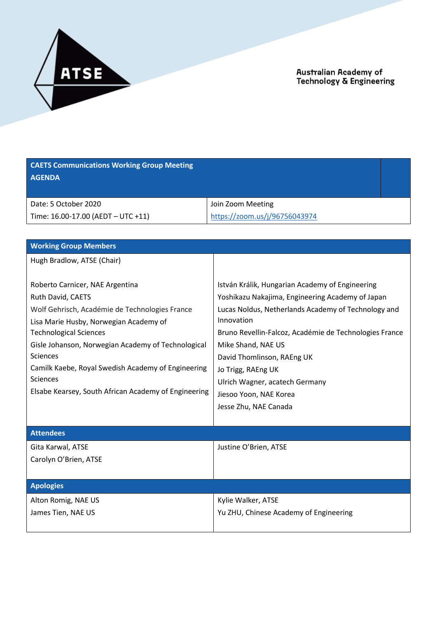

| <b>CAETS Communications Working Group Meeting</b><br><b>AGENDA</b>                                                                                                                                                                                                                                                                                                                          |                                                                                                                                                                                                                                                                                                                                                                                                   |
|---------------------------------------------------------------------------------------------------------------------------------------------------------------------------------------------------------------------------------------------------------------------------------------------------------------------------------------------------------------------------------------------|---------------------------------------------------------------------------------------------------------------------------------------------------------------------------------------------------------------------------------------------------------------------------------------------------------------------------------------------------------------------------------------------------|
| Date: 5 October 2020<br>Time: 16.00-17.00 (AEDT - UTC +11)                                                                                                                                                                                                                                                                                                                                  | Join Zoom Meeting<br>https://zoom.us/j/96756043974                                                                                                                                                                                                                                                                                                                                                |
| <b>Working Group Members</b>                                                                                                                                                                                                                                                                                                                                                                |                                                                                                                                                                                                                                                                                                                                                                                                   |
| Hugh Bradlow, ATSE (Chair)                                                                                                                                                                                                                                                                                                                                                                  |                                                                                                                                                                                                                                                                                                                                                                                                   |
| Roberto Carnicer, NAE Argentina<br>Ruth David, CAETS<br>Wolf Gehrisch, Académie de Technologies France<br>Lisa Marie Husby, Norwegian Academy of<br><b>Technological Sciences</b><br>Gisle Johanson, Norwegian Academy of Technological<br><b>Sciences</b><br>Camilk Kaebe, Royal Swedish Academy of Engineering<br><b>Sciences</b><br>Elsabe Kearsey, South African Academy of Engineering | István Králik, Hungarian Academy of Engineering<br>Yoshikazu Nakajima, Engineering Academy of Japan<br>Lucas Noldus, Netherlands Academy of Technology and<br>Innovation<br>Bruno Revellin-Falcoz, Académie de Technologies France<br>Mike Shand, NAE US<br>David Thomlinson, RAEng UK<br>Jo Trigg, RAEng UK<br>Ulrich Wagner, acatech Germany<br>Jiesoo Yoon, NAE Korea<br>Jesse Zhu, NAE Canada |
| <b>Attendees</b>                                                                                                                                                                                                                                                                                                                                                                            |                                                                                                                                                                                                                                                                                                                                                                                                   |
| Gita Karwal, ATSE<br>Carolyn O'Brien, ATSE                                                                                                                                                                                                                                                                                                                                                  | Justine O'Brien, ATSE                                                                                                                                                                                                                                                                                                                                                                             |
| <b>Apologies</b>                                                                                                                                                                                                                                                                                                                                                                            |                                                                                                                                                                                                                                                                                                                                                                                                   |
| Alton Romig, NAE US<br>James Tien, NAE US                                                                                                                                                                                                                                                                                                                                                   | Kylie Walker, ATSE<br>Yu ZHU, Chinese Academy of Engineering                                                                                                                                                                                                                                                                                                                                      |